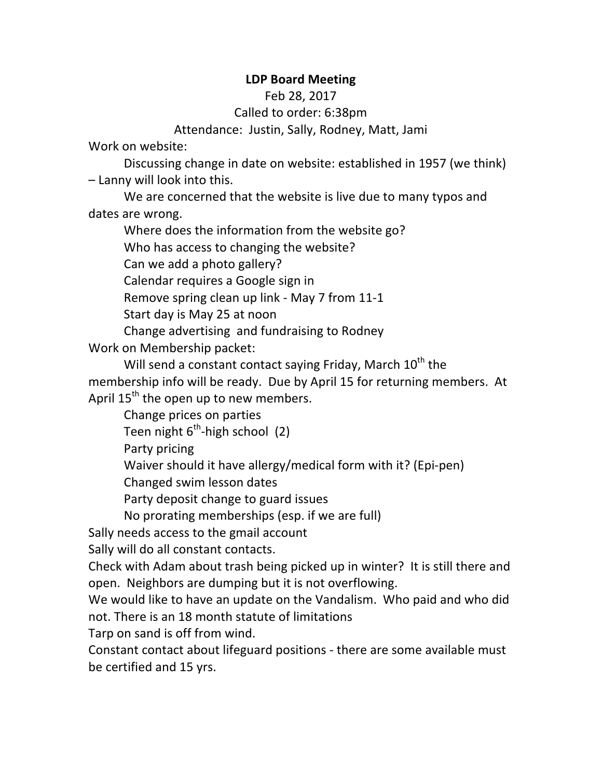## **LDP Board Meeting**

Feb 28, 2017

Called to order: 6:38pm

Attendance: Justin, Sally, Rodney, Matt, Jami

Work on website:

Discussing change in date on website: established in 1957 (we think)  $-$  Lanny will look into this.

We are concerned that the website is live due to many typos and dates are wrong.

Where does the information from the website go?

Who has access to changing the website?

Can we add a photo gallery?

Calendar requires a Google sign in

Remove spring clean up link - May 7 from 11-1

Start day is May 25 at noon

Change advertising and fundraising to Rodney

Work on Membership packet:

Will send a constant contact saying Friday, March  $10^{th}$  the membership info will be ready. Due by April 15 for returning members. At April  $15<sup>th</sup>$  the open up to new members.

Change prices on parties

Teen night  $6^{th}$ -high school (2)

Party pricing

Waiver should it have allergy/medical form with it? (Epi-pen)

Changed swim lesson dates

Party deposit change to guard issues

No prorating memberships (esp. if we are full)

Sally needs access to the gmail account

Sally will do all constant contacts.

Check with Adam about trash being picked up in winter? It is still there and open. Neighbors are dumping but it is not overflowing.

We would like to have an update on the Vandalism. Who paid and who did not. There is an 18 month statute of limitations

Tarp on sand is off from wind.

Constant contact about lifeguard positions - there are some available must be certified and 15 yrs.